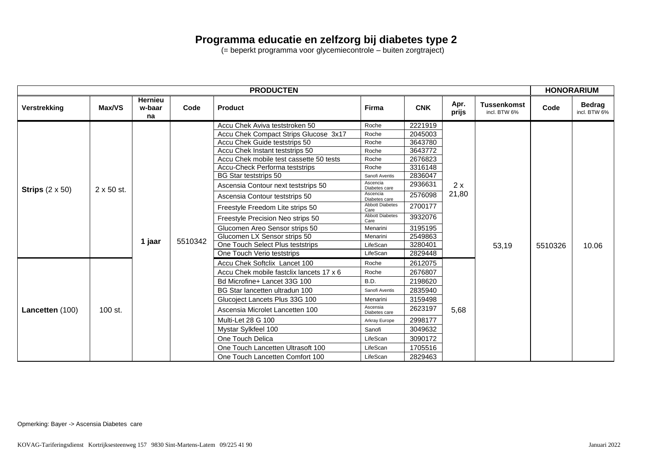## **Programma educatie en zelfzorg bij diabetes type 2**

(= beperkt programma voor glycemiecontrole – buiten zorgtraject)

| <b>PRODUCTEN</b>       |                   |                                |         |                                                                                                                                                                                                                                                                                                                                                                                                                                                                                                                                                       |                                                                                                                                                                                                                                                    |                                                                                                                                                                   | <b>HONORARIUM</b> |                                    |         |                               |
|------------------------|-------------------|--------------------------------|---------|-------------------------------------------------------------------------------------------------------------------------------------------------------------------------------------------------------------------------------------------------------------------------------------------------------------------------------------------------------------------------------------------------------------------------------------------------------------------------------------------------------------------------------------------------------|----------------------------------------------------------------------------------------------------------------------------------------------------------------------------------------------------------------------------------------------------|-------------------------------------------------------------------------------------------------------------------------------------------------------------------|-------------------|------------------------------------|---------|-------------------------------|
| <b>Verstrekking</b>    | Max/VS            | <b>Hernieu</b><br>w-baar<br>na | Code    | <b>Product</b>                                                                                                                                                                                                                                                                                                                                                                                                                                                                                                                                        | Firma                                                                                                                                                                                                                                              | <b>CNK</b>                                                                                                                                                        | Apr.<br>prijs     | <b>Tussenkomst</b><br>incl. BTW 6% | Code    | <b>Bedrag</b><br>incl. BTW 6% |
| Strips $(2 \times 50)$ | $2 \times 50$ st. | 1 jaar                         | 5510342 | Accu Chek Aviva teststroken 50<br>Accu Chek Compact Strips Glucose 3x17<br>Accu Chek Guide teststrips 50<br>Accu Chek Instant teststrips 50<br>Accu Chek mobile test cassette 50 tests<br><b>Accu-Check Performa teststrips</b><br><b>BG Star teststrips 50</b><br>Ascensia Contour next teststrips 50<br>Ascensia Contour teststrips 50<br>Freestyle Freedom Lite strips 50<br>Freestyle Precision Neo strips 50<br>Glucomen Areo Sensor strips 50<br>Glucomen LX Sensor strips 50<br>One Touch Select Plus teststrips<br>One Touch Verio teststrips | Roche<br>Roche<br>Roche<br>Roche<br>Roche<br>Roche<br>Sanofi Aventis<br>Ascencia<br>Diabetes care<br>Ascencia<br>Diabetes care<br><b>Abbott Diabetes</b><br>Care<br><b>Abbott Diabetes</b><br>Care<br>Menarini<br>Menarini<br>LifeScan<br>LifeScan | 2221919<br>2045003<br>3643780<br>3643772<br>2676823<br>3316148<br>2836047<br>2936631<br>2576098<br>2700177<br>3932076<br>3195195<br>2549863<br>3280401<br>2829448 | 2x<br>21,80       | 53,19                              | 5510326 | 10.06                         |
| Lancetten (100)        | 100 st.           |                                |         | Accu Chek Softclix Lancet 100<br>Accu Chek mobile fastclix lancets 17 x 6<br>Bd Microfine+ Lancet 33G 100<br>BG Star lancetten ultradun 100<br>Glucoject Lancets Plus 33G 100<br>Ascensia Microlet Lancetten 100<br>Multi-Let 28 G 100<br>Mystar Sylkfeel 100<br>One Touch Delica<br>One Touch Lancetten Ultrasoft 100<br>One Touch Lancetten Comfort 100                                                                                                                                                                                             | Roche<br>Roche<br>B.D.<br>Sanofi Aventis<br>Menarini<br>Ascensia<br>Diabetes care<br>Arkray Europe<br>Sanofi<br>LifeScan<br>LifeScan<br>LifeScan                                                                                                   | 2612075<br>2676807<br>2198620<br>2835940<br>3159498<br>2623197<br>2998177<br>3049632<br>3090172<br>1705516<br>2829463                                             | 5,68              |                                    |         |                               |